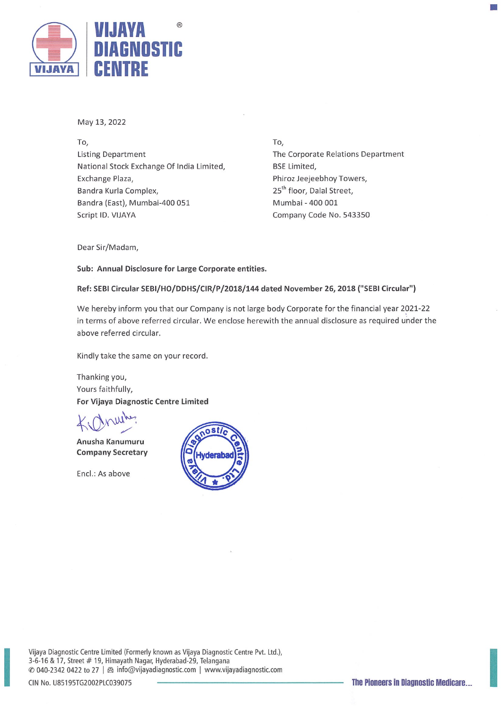

May 13, 2022

To, Listing Department National Stock Exchange Of India Limited, Exchange Plaza, Bandra Kurla Complex, Bandra (East), Mumbai-400 051 Script ID. VIJAYA

To, The Corporate Relations Department BSE Limited, Phiroz Jeejeebhoy Towers, 25<sup>th</sup> floor, Dalal Street, Mumbai - 400 001 Company Code No. 543350

30

Dear Sir/Madam,

Sub: Annual Disclosure for Large Corporate entities.

Ref: SEBI Circular SEBI/HO/DDHS/CIR/P/2018/144 dated November 26, 2018 ("SEBI Circular")

We hereby inform you that our Company is not large body Corporate for the financial year 2021-22 in terms of above referred circular. We enclose herewith the annual disclosure as required under the above referred circular.

Kindly take the same on your record.

Thanking you, Yours faithfully, For Vijaya Diagnostic Centre Limited

Anusha Kanumuru Company Secretary

Encl.: As above



Vijaya Diagnostic Centre Limited (Formerly known as Vijaya Diagnostic Centre Pvt. Ltd.), 3-6-16 & 17, Street # 19, Himayath Nagar, Hyderabad-29, Telangana © 040-2342 0422 to 27 | & info@vijayadiagnostic.com | www.vijayadiagnostic.com